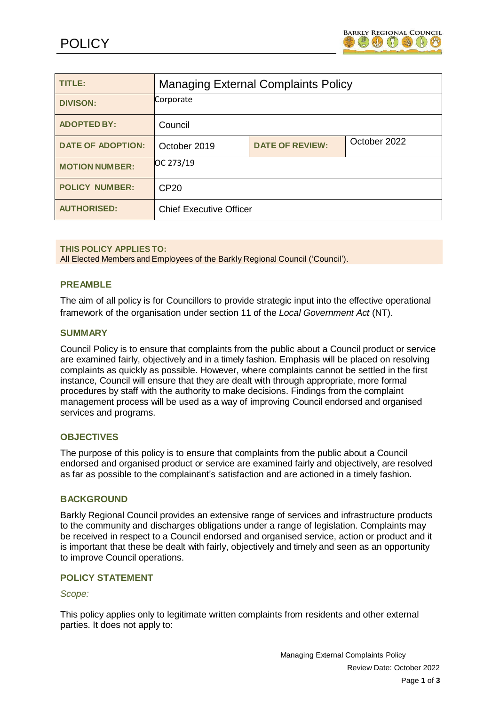

| TITLE:                   | <b>Managing External Complaints Policy</b> |                        |              |
|--------------------------|--------------------------------------------|------------------------|--------------|
| <b>DIVISON:</b>          | Corporate                                  |                        |              |
| <b>ADOPTED BY:</b>       | Council                                    |                        |              |
| <b>DATE OF ADOPTION:</b> | October 2019                               | <b>DATE OF REVIEW:</b> | October 2022 |
| <b>MOTION NUMBER:</b>    | OC 273/19                                  |                        |              |
| <b>POLICY NUMBER:</b>    | CP <sub>20</sub>                           |                        |              |
| <b>AUTHORISED:</b>       | <b>Chief Executive Officer</b>             |                        |              |

**THIS POLICY APPLIES TO:**

All Elected Members and Employees of the Barkly Regional Council ('Council').

## **PREAMBLE**

The aim of all policy is for Councillors to provide strategic input into the effective operational framework of the organisation under section 11 of the *Local Government Act* (NT).

### **SUMMARY**

Council Policy is to ensure that complaints from the public about a Council product or service are examined fairly, objectively and in a timely fashion. Emphasis will be placed on resolving complaints as quickly as possible. However, where complaints cannot be settled in the first instance, Council will ensure that they are dealt with through appropriate, more formal procedures by staff with the authority to make decisions. Findings from the complaint management process will be used as a way of improving Council endorsed and organised services and programs.

### **OBJECTIVES**

The purpose of this policy is to ensure that complaints from the public about a Council endorsed and organised product or service are examined fairly and objectively, are resolved as far as possible to the complainant's satisfaction and are actioned in a timely fashion.

### **BACKGROUND**

Barkly Regional Council provides an extensive range of services and infrastructure products to the community and discharges obligations under a range of legislation. Complaints may be received in respect to a Council endorsed and organised service, action or product and it is important that these be dealt with fairly, objectively and timely and seen as an opportunity to improve Council operations.

### **POLICY STATEMENT**

#### *Scope:*

This policy applies only to legitimate written complaints from residents and other external parties. It does not apply to: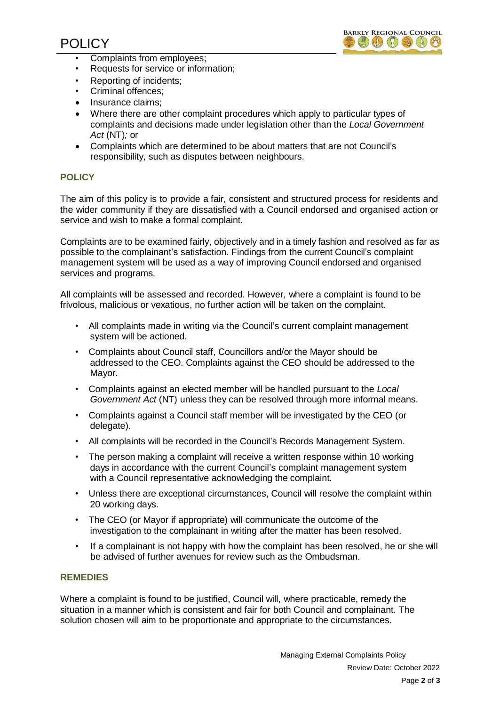

- Complaints from employees;
- Requests for service or information;
- Reporting of incidents;
- Criminal offences;
- Insurance claims;
- Where there are other complaint procedures which apply to particular types of complaints and decisions made under legislation other than the *Local Government Act* (NT)*;* or
- Complaints which are determined to be about matters that are not Council's responsibility, such as disputes between neighbours.

# **POLICY**

The aim of this policy is to provide a fair, consistent and structured process for residents and the wider community if they are dissatisfied with a Council endorsed and organised action or service and wish to make a formal complaint.

Complaints are to be examined fairly, objectively and in a timely fashion and resolved as far as possible to the complainant's satisfaction. Findings from the current Council's complaint management system will be used as a way of improving Council endorsed and organised services and programs.

All complaints will be assessed and recorded. However, where a complaint is found to be frivolous, malicious or vexatious, no further action will be taken on the complaint.

- All complaints made in writing via the Council's current complaint management system will be actioned.
- Complaints about Council staff, Councillors and/or the Mayor should be addressed to the CEO. Complaints against the CEO should be addressed to the Mayor.
- Complaints against an elected member will be handled pursuant to the *Local Government Act* (NT) unless they can be resolved through more informal means.
- Complaints against a Council staff member will be investigated by the CEO (or delegate).
- All complaints will be recorded in the Council's Records Management System.
- The person making a complaint will receive a written response within 10 working days in accordance with the current Council's complaint management system with a Council representative acknowledging the complaint.
- Unless there are exceptional circumstances, Council will resolve the complaint within 20 working days.
- The CEO (or Mayor if appropriate) will communicate the outcome of the investigation to the complainant in writing after the matter has been resolved.
- If a complainant is not happy with how the complaint has been resolved, he or she will be advised of further avenues for review such as the Ombudsman.

## **REMEDIES**

Where a complaint is found to be justified, Council will, where practicable, remedy the situation in a manner which is consistent and fair for both Council and complainant. The solution chosen will aim to be proportionate and appropriate to the circumstances.